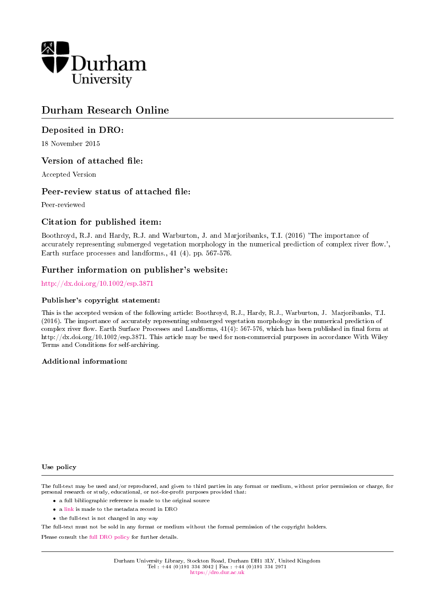

# Durham Research Online

## Deposited in DRO:

18 November 2015

## Version of attached file:

Accepted Version

## Peer-review status of attached file:

Peer-reviewed

## Citation for published item:

Boothroyd, R.J. and Hardy, R.J. and Warburton, J. and Marjoribanks, T.I. (2016) 'The importance of accurately representing submerged vegetation morphology in the numerical prediction of complex river flow.', Earth surface processes and landforms., 41 (4). pp. 567-576.

### Further information on publisher's website:

<http://dx.doi.org/10.1002/esp.3871>

#### Publisher's copyright statement:

This is the accepted version of the following article: Boothroyd, R.J., Hardy, R.J., Warburton, J. Marjoribanks, T.I. (2016). The importance of accurately representing submerged vegetation morphology in the numerical prediction of complex river flow. Earth Surface Processes and Landforms,  $41(4)$ : 567-576, which has been published in final form at http://dx.doi.org/10.1002/esp.3871. This article may be used for non-commercial purposes in accordance With Wiley Terms and Conditions for self-archiving.

#### Additional information:

#### Use policy

The full-text may be used and/or reproduced, and given to third parties in any format or medium, without prior permission or charge, for personal research or study, educational, or not-for-profit purposes provided that:

- a full bibliographic reference is made to the original source
- a [link](http://dro.dur.ac.uk/16904/) is made to the metadata record in DRO
- the full-text is not changed in any way

The full-text must not be sold in any format or medium without the formal permission of the copyright holders.

Please consult the [full DRO policy](https://dro.dur.ac.uk/policies/usepolicy.pdf) for further details.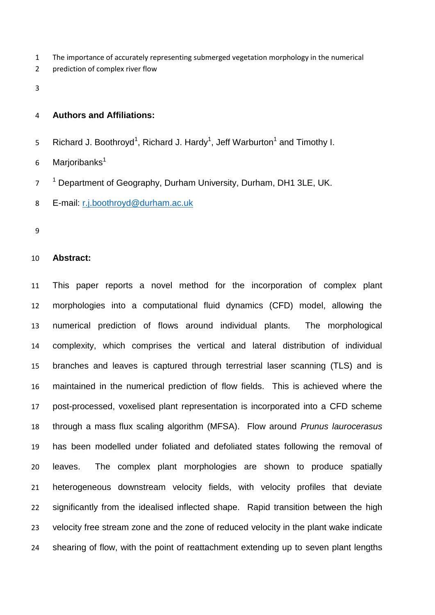- The importance of accurately representing submerged vegetation morphology in the numerical
- prediction of complex river flow
- 

### **Authors and Affiliations:**

- 5 Richard J. Boothroyd<sup>1</sup>, Richard J. Hardy<sup>1</sup>, Jeff Warburton<sup>1</sup> and Timothy I.
- Marioribanks
- <sup>1</sup> Department of Geography, Durham University, Durham, DH1 3LE, UK.
- E-mail: [r.j.boothroyd@durham.ac.uk](mailto:r.j.boothroyd@durham.ac.uk)
- 

#### **Abstract:**

 This paper reports a novel method for the incorporation of complex plant morphologies into a computational fluid dynamics (CFD) model, allowing the numerical prediction of flows around individual plants. The morphological complexity, which comprises the vertical and lateral distribution of individual branches and leaves is captured through terrestrial laser scanning (TLS) and is maintained in the numerical prediction of flow fields. This is achieved where the post-processed, voxelised plant representation is incorporated into a CFD scheme through a mass flux scaling algorithm (MFSA). Flow around *Prunus laurocerasus*  has been modelled under foliated and defoliated states following the removal of leaves. The complex plant morphologies are shown to produce spatially heterogeneous downstream velocity fields, with velocity profiles that deviate 22 significantly from the idealised inflected shape. Rapid transition between the high velocity free stream zone and the zone of reduced velocity in the plant wake indicate shearing of flow, with the point of reattachment extending up to seven plant lengths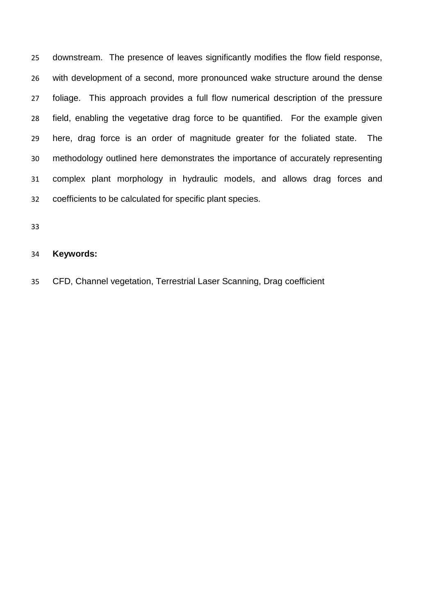downstream. The presence of leaves significantly modifies the flow field response, with development of a second, more pronounced wake structure around the dense foliage. This approach provides a full flow numerical description of the pressure field, enabling the vegetative drag force to be quantified. For the example given here, drag force is an order of magnitude greater for the foliated state. The methodology outlined here demonstrates the importance of accurately representing complex plant morphology in hydraulic models, and allows drag forces and coefficients to be calculated for specific plant species.

## **Keywords:**

CFD, Channel vegetation, Terrestrial Laser Scanning, Drag coefficient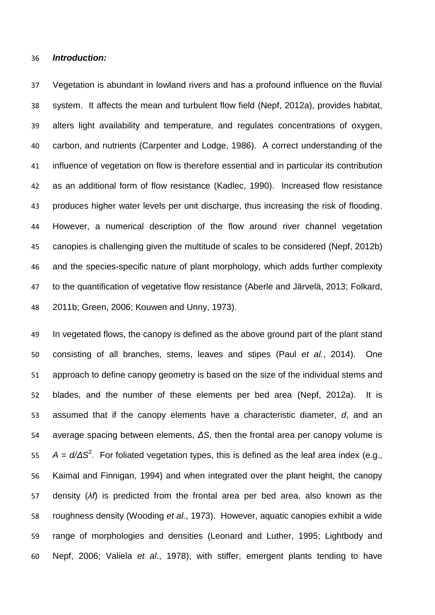#### *Introduction:*

 Vegetation is abundant in lowland rivers and has a profound influence on the fluvial system. It affects the mean and turbulent flow field [\(Nepf, 2012a\)](#page-33-0), provides habitat, alters light availability and temperature, and regulates concentrations of oxygen, carbon, and nutrients [\(Carpenter and Lodge, 1986\)](#page-29-0). A correct understanding of the influence of vegetation on flow is therefore essential and in particular its contribution as an additional form of flow resistance [\(Kadlec, 1990\)](#page-32-0). Increased flow resistance produces higher water levels per unit discharge, thus increasing the risk of flooding. However, a numerical description of the flow around river channel vegetation canopies is challenging given the multitude of scales to be considered [\(Nepf, 2012b\)](#page-33-1) and the species-specific nature of plant morphology, which adds further complexity to the quantification of vegetative flow resistance [\(Aberle and Järvelä, 2013;](#page-29-1) [Folkard,](#page-30-0)  [2011b;](#page-30-0) [Green, 2006;](#page-31-0) [Kouwen and Unny, 1973\)](#page-32-1).

 In vegetated flows, the canopy is defined as the above ground part of the plant stand consisting of all branches, stems, leaves and stipes (Paul *et al.*[, 2014\)](#page-34-0). One approach to define canopy geometry is based on the size of the individual stems and blades, and the number of these elements per bed area [\(Nepf, 2012a\)](#page-33-0). It is assumed that if the canopy elements have a characteristic diameter, *d*, and an average spacing between elements, *ΔS*, then the frontal area per canopy volume is  $A = d/\Delta S^2$ . For foliated vegetation types, this is defined as the leaf area index (e.g., [Kaimal and Finnigan,](#page-32-2) 1994) and when integrated over the plant height, the canopy density (*λf*) is predicted from the frontal area per bed area, also known as the roughness density [\(Wooding](#page-36-0) *et al.*, 1973). However, aquatic canopies exhibit a wide range of morphologies and densities [\(Leonard and Luther, 1995;](#page-32-3) [Lightbody and](#page-32-4)  [Nepf, 2006;](#page-32-4) Valiela *et al.*[, 1978\)](#page-36-1), with stiffer, emergent plants tending to have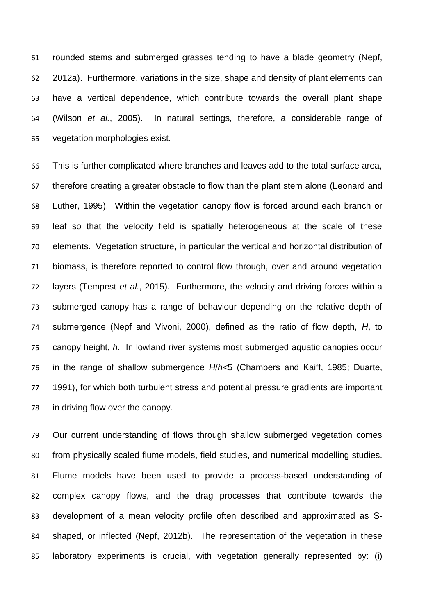rounded stems and submerged grasses tending to have a blade geometry [\(Nepf,](#page-33-0)  [2012a\)](#page-33-0). Furthermore, variations in the size, shape and density of plant elements can have a vertical dependence, which contribute towards the overall plant shape (Wilson *et al.*[, 2005\)](#page-36-2). In natural settings, therefore, a considerable range of vegetation morphologies exist.

 This is further complicated where branches and leaves add to the total surface area, therefore creating a greater obstacle to flow than the plant stem alone [\(Leonard and](#page-32-3)  [Luther, 1995\)](#page-32-3). Within the vegetation canopy flow is forced around each branch or leaf so that the velocity field is spatially heterogeneous at the scale of these elements. Vegetation structure, in particular the vertical and horizontal distribution of biomass, is therefore reported to control flow through, over and around vegetation layers [\(Tempest](#page-35-0) *et al.*, 2015). Furthermore, the velocity and driving forces within a submerged canopy has a range of behaviour depending on the relative depth of submergence [\(Nepf and Vivoni, 2000\)](#page-33-2), defined as the ratio of flow depth, *H*, to canopy height, *h*. In lowland river systems most submerged aquatic canopies occur in the range of shallow submergence *H*/*h<*5 (Chambers [and Kaiff, 1985;](#page-29-2) [Duarte,](#page-30-1)  [1991\)](#page-30-1), for which both turbulent stress and potential pressure gradients are important in driving flow over the canopy.

 Our current understanding of flows through shallow submerged vegetation comes from physically scaled flume models, field studies, and numerical modelling studies. Flume models have been used to provide a process-based understanding of complex canopy flows, and the drag processes that contribute towards the development of a mean velocity profile often described and approximated as S- shaped, or inflected [\(Nepf, 2012b\)](#page-33-1). The representation of the vegetation in these laboratory experiments is crucial, with vegetation generally represented by: (i)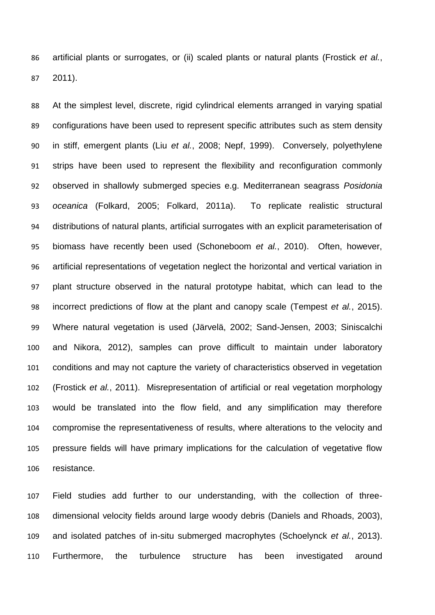artificial plants or surrogates, or (ii) scaled plants or natural plants [\(Frostick](#page-31-1) *et al.*, [2011\)](#page-31-1).

 At the simplest level, discrete, rigid cylindrical elements arranged in varying spatial configurations have been used to represent specific attributes such as stem density in stiff, emergent plants (Liu *et al.*[, 2008;](#page-32-5) [Nepf, 1999\)](#page-33-3). Conversely, polyethylene strips have been used to represent the flexibility and reconfiguration commonly observed in shallowly submerged species e.g. Mediterranean seagrass *Posidonia oceanica* [\(Folkard, 2005;](#page-30-2) [Folkard, 2011a\)](#page-30-3). To replicate realistic structural distributions of natural plants, artificial surrogates with an explicit parameterisation of biomass have recently been used [\(Schoneboom](#page-34-1) *et al.*, 2010). Often, however, artificial representations of vegetation neglect the horizontal and vertical variation in plant structure observed in the natural prototype habitat, which can lead to the incorrect predictions of flow at the plant and canopy scale [\(Tempest](#page-35-0) *et al.*, 2015). Where natural vegetation is used [\(Järvelä, 2002;](#page-31-2) [Sand-Jensen, 2003;](#page-34-2) [Siniscalchi](#page-35-1)  [and Nikora, 2012\)](#page-35-1), samples can prove difficult to maintain under laboratory conditions and may not capture the variety of characteristics observed in vegetation [\(Frostick](#page-31-1) *et al.*, 2011). Misrepresentation of artificial or real vegetation morphology would be translated into the flow field, and any simplification may therefore compromise the representativeness of results, where alterations to the velocity and pressure fields will have primary implications for the calculation of vegetative flow resistance.

 Field studies add further to our understanding, with the collection of three- dimensional velocity fields around large woody debris [\(Daniels and Rhoads, 2003\)](#page-30-4), and isolated patches of in-situ submerged macrophytes [\(Schoelynck](#page-34-3) *et al.*, 2013). Furthermore, the turbulence structure has been investigated around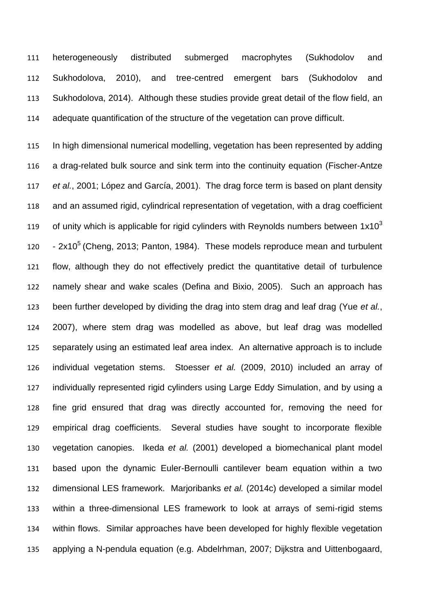heterogeneously distributed submerged macrophytes [\(Sukhodolov and](#page-35-2)  [Sukhodolova, 2010\)](#page-35-2), and tree-centred emergent bars [\(Sukhodolov and](#page-35-3)  [Sukhodolova, 2014\)](#page-35-3). Although these studies provide great detail of the flow field, an adequate quantification of the structure of the vegetation can prove difficult.

 In high dimensional numerical modelling, vegetation has been represented by adding a drag-related bulk source and sink term into the continuity equation [\(Fischer-Antze](#page-30-5) *et al.*[, 2001;](#page-30-5) [López and García, 2001\)](#page-32-6). The drag force term is based on plant density and an assumed rigid, cylindrical representation of vegetation, with a drag coefficient of unity which is applicable for rigid cylinders with Reynolds numbers between  $1x10^3$   $-2x10^5$  [\(Cheng, 2013;](#page-29-3) [Panton, 1984\)](#page-34-4). These models reproduce mean and turbulent flow, although they do not effectively predict the quantitative detail of turbulence namely shear and wake scales [\(Defina and Bixio, 2005\)](#page-30-6). Such an approach has been further developed by dividing the drag into stem drag and leaf drag (Yue *[et al.](#page-36-3)*, [2007\)](#page-36-3), where stem drag was modelled as above, but leaf drag was modelled separately using an estimated leaf area index. An alternative approach is to include individual vegetation stems. Stoesser *et al.* (2009, 2010) included an array of individually represented rigid cylinders using Large Eddy Simulation, and by using a fine grid ensured that drag was directly accounted for, removing the need for empirical drag coefficients. Several studies have sought to incorporate flexible vegetation canopies. Ikeda *et al.* [\(2001\)](#page-31-3) developed a biomechanical plant model based upon the dynamic Euler-Bernoulli cantilever beam equation within a two dimensional LES framework. [Marjoribanks](#page-33-4) *et al.* (2014c) developed a similar model within a three-dimensional LES framework to look at arrays of semi-rigid stems within flows. Similar approaches have been developed for highly flexible vegetation applying a N-pendula equation (e.g. Abdelrhman, 2007; Dijkstra and Uittenbogaard,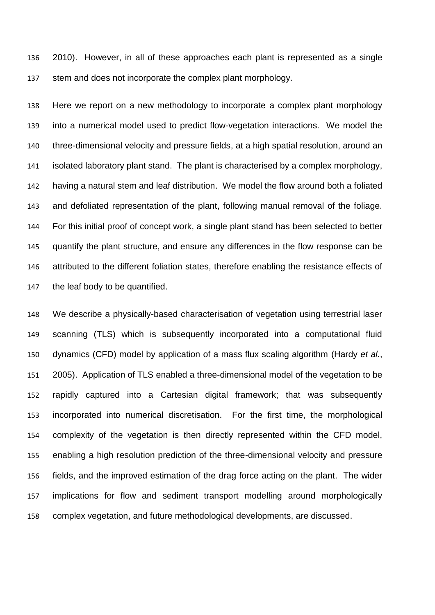2010). However, in all of these approaches each plant is represented as a single stem and does not incorporate the complex plant morphology.

 Here we report on a new methodology to incorporate a complex plant morphology into a numerical model used to predict flow-vegetation interactions. We model the three-dimensional velocity and pressure fields, at a high spatial resolution, around an isolated laboratory plant stand. The plant is characterised by a complex morphology, having a natural stem and leaf distribution. We model the flow around both a foliated and defoliated representation of the plant, following manual removal of the foliage. For this initial proof of concept work, a single plant stand has been selected to better quantify the plant structure, and ensure any differences in the flow response can be attributed to the different foliation states, therefore enabling the resistance effects of the leaf body to be quantified.

 We describe a physically-based characterisation of vegetation using terrestrial laser scanning (TLS) which is subsequently incorporated into a computational fluid dynamics (CFD) model by application of a mass flux scaling algorithm [\(Hardy](#page-31-4) *et al.*, [2005\)](#page-31-4). Application of TLS enabled a three-dimensional model of the vegetation to be rapidly captured into a Cartesian digital framework; that was subsequently incorporated into numerical discretisation. For the first time, the morphological complexity of the vegetation is then directly represented within the CFD model, enabling a high resolution prediction of the three-dimensional velocity and pressure fields, and the improved estimation of the drag force acting on the plant. The wider implications for flow and sediment transport modelling around morphologically complex vegetation, and future methodological developments, are discussed.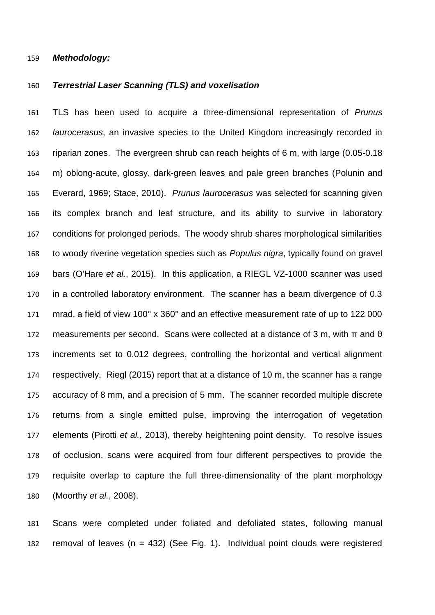#### *Methodology:*

## *Terrestrial Laser Scanning (TLS) and voxelisation*

 TLS has been used to acquire a three-dimensional representation of *Prunus laurocerasus*, an invasive species to the United Kingdom increasingly recorded in riparian zones. The evergreen shrub can reach heights of 6 m, with large (0.05-0.18 m) oblong-acute, glossy, dark-green leaves and pale green branches [\(Polunin and](#page-34-5)  [Everard, 1969;](#page-34-5) [Stace, 2010\)](#page-35-4). *Prunus laurocerasus* was selected for scanning given its complex branch and leaf structure, and its ability to survive in laboratory conditions for prolonged periods. The woody shrub shares morphological similarities to woody riverine vegetation species such as *Populus nigra*, typically found on gravel bars [\(O'Hare](#page-34-6) *et al.*, 2015). In this application, a RIEGL VZ-1000 scanner was used in a controlled laboratory environment. The scanner has a beam divergence of 0.3 mrad, a field of view 100° x 360° and an effective measurement rate of up to 122 000 172 measurements per second. Scans were collected at a distance of 3 m, with  $\pi$  and  $\theta$  increments set to 0.012 degrees, controlling the horizontal and vertical alignment respectively. [Riegl \(2015\)](#page-34-7) report that at a distance of 10 m, the scanner has a range accuracy of 8 mm, and a precision of 5 mm. The scanner recorded multiple discrete returns from a single emitted pulse, improving the interrogation of vegetation elements (Pirotti *et al.*[, 2013\)](#page-34-8), thereby heightening point density. To resolve issues of occlusion, scans were acquired from four different perspectives to provide the requisite overlap to capture the full three-dimensionality of the plant morphology [\(Moorthy](#page-33-5) *et al.*, 2008).

 Scans were completed under foliated and defoliated states, following manual 182 removal of leaves ( $n = 432$ ) (See Fig. 1). Individual point clouds were registered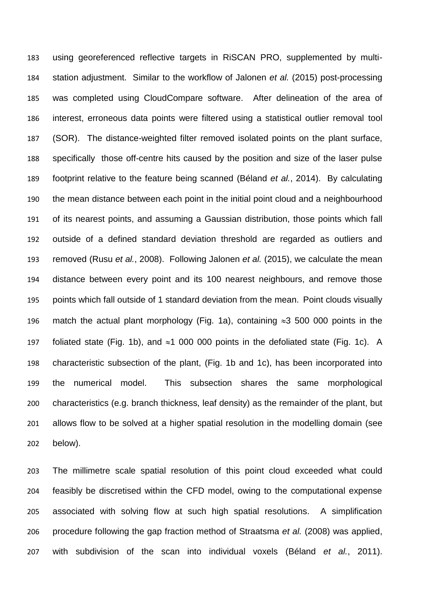using georeferenced reflective targets in RiSCAN PRO, supplemented by multi- station adjustment. Similar to the workflow of [Jalonen](#page-31-5) *et al.* (2015) post-processing was completed using CloudCompare software. After delineation of the area of interest, erroneous data points were filtered using a statistical outlier removal tool (SOR). The distance-weighted filter removed isolated points on the plant surface, specifically those off-centre hits caused by the position and size of the laser pulse footprint relative to the feature being scanned [\(Béland](#page-29-4) *et al.*, 2014). By calculating the mean distance between each point in the initial point cloud and a neighbourhood of its nearest points, and assuming a Gaussian distribution, those points which fall outside of a defined standard deviation threshold are regarded as outliers and removed (Rusu *et al.*[, 2008\)](#page-34-9). Following [Jalonen](#page-31-5) *et al.* (2015), we calculate the mean distance between every point and its 100 nearest neighbours, and remove those points which fall outside of 1 standard deviation from the mean. Point clouds visually 196 match the actual plant morphology (Fig. 1a), containing  $\approx$ 3 500 000 points in the 197 foliated state (Fig. 1b), and  $\approx$ 1 000 000 points in the defoliated state (Fig. 1c). A characteristic subsection of the plant, (Fig. 1b and 1c), has been incorporated into the numerical model. This subsection shares the same morphological characteristics (e.g. branch thickness, leaf density) as the remainder of the plant, but allows flow to be solved at a higher spatial resolution in the modelling domain (see below).

 The millimetre scale spatial resolution of this point cloud exceeded what could feasibly be discretised within the CFD model, owing to the computational expense associated with solving flow at such high spatial resolutions. A simplification procedure following the gap fraction method of [Straatsma](#page-35-5) *et al.* (2008) was applied, with subdivision of the scan into individual voxels (Béland *et al.*[, 2011\)](#page-29-5).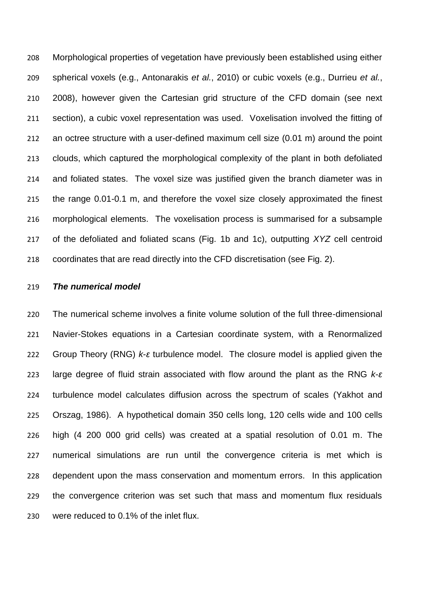Morphological properties of vegetation have previously been established using either spherical voxels [\(e.g., Antonarakis](#page-29-6) *et al.*, 2010) or cubic voxels [\(e.g., Durrieu](#page-30-7) *et al.*, [2008\)](#page-30-7), however given the Cartesian grid structure of the CFD domain (see next section), a cubic voxel representation was used. Voxelisation involved the fitting of an octree structure with a user-defined maximum cell size (0.01 m) around the point clouds, which captured the morphological complexity of the plant in both defoliated and foliated states. The voxel size was justified given the branch diameter was in the range 0.01-0.1 m, and therefore the voxel size closely approximated the finest morphological elements. The voxelisation process is summarised for a subsample of the defoliated and foliated scans (Fig. 1b and 1c), outputting *XYZ* cell centroid coordinates that are read directly into the CFD discretisation (see Fig. 2).

### *The numerical model*

 The numerical scheme involves a finite volume solution of the full three-dimensional Navier-Stokes equations in a Cartesian coordinate system, with a Renormalized Group Theory (RNG) *k*-*ε* turbulence model. The closure model is applied given the large degree of fluid strain associated with flow around the plant as the RNG *k*-*ε* turbulence model calculates diffusion across the spectrum of scales [\(Yakhot and](#page-36-4)  [Orszag, 1986\)](#page-36-4). A hypothetical domain 350 cells long, 120 cells wide and 100 cells high (4 200 000 grid cells) was created at a spatial resolution of 0.01 m. The numerical simulations are run until the convergence criteria is met which is dependent upon the mass conservation and momentum errors. In this application the convergence criterion was set such that mass and momentum flux residuals were reduced to 0.1% of the inlet flux.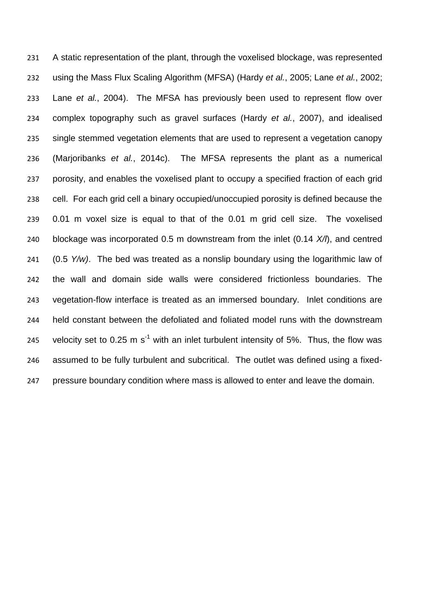A static representation of the plant, through the voxelised blockage, was represented using the Mass Flux Scaling Algorithm (MFSA) (Hardy *et al.*[, 2005;](#page-31-4) Lane *et al.*[, 2002;](#page-32-7) Lane *et al.*[, 2004\)](#page-32-8). The MFSA has previously been used to represent flow over complex topography such as gravel surfaces (Hardy *et al.*[, 2007\)](#page-31-6), and idealised single stemmed vegetation elements that are used to represent a vegetation canopy [\(Marjoribanks](#page-33-4) *et al.*, 2014c). The MFSA represents the plant as a numerical porosity, and enables the voxelised plant to occupy a specified fraction of each grid cell. For each grid cell a binary occupied/unoccupied porosity is defined because the 0.01 m voxel size is equal to that of the 0.01 m grid cell size. The voxelised blockage was incorporated 0.5 m downstream from the inlet (0.14 *X/l*), and centred (0.5 *Y/w)*. The bed was treated as a nonslip boundary using the logarithmic law of the wall and domain side walls were considered frictionless boundaries. The vegetation-flow interface is treated as an immersed boundary. Inlet conditions are held constant between the defoliated and foliated model runs with the downstream 245 velocity set to 0.25 m  $s^{-1}$  with an inlet turbulent intensity of 5%. Thus, the flow was assumed to be fully turbulent and subcritical. The outlet was defined using a fixed-pressure boundary condition where mass is allowed to enter and leave the domain.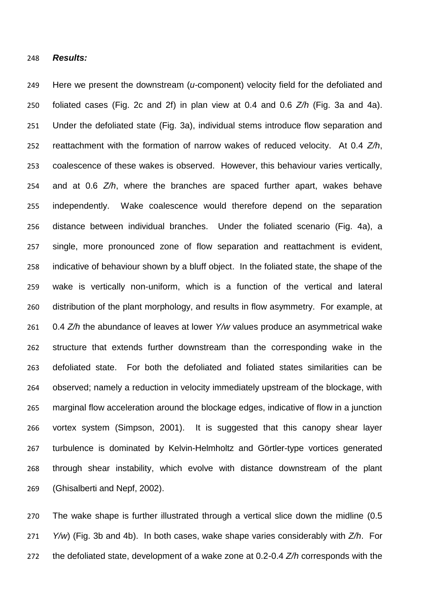#### *Results:*

 Here we present the downstream (*u-*component) velocity field for the defoliated and foliated cases (Fig. 2c and 2f) in plan view at 0.4 and 0.6 *Z/h* (Fig. 3a and 4a). Under the defoliated state (Fig. 3a), individual stems introduce flow separation and reattachment with the formation of narrow wakes of reduced velocity. At 0.4 *Z/h*, coalescence of these wakes is observed. However, this behaviour varies vertically, and at 0.6 *Z/h*, where the branches are spaced further apart, wakes behave independently. Wake coalescence would therefore depend on the separation distance between individual branches. Under the foliated scenario (Fig. 4a), a single, more pronounced zone of flow separation and reattachment is evident, indicative of behaviour shown by a bluff object. In the foliated state, the shape of the wake is vertically non-uniform, which is a function of the vertical and lateral distribution of the plant morphology, and results in flow asymmetry. For example, at 0.4 *Z/h* the abundance of leaves at lower *Y/w* values produce an asymmetrical wake structure that extends further downstream than the corresponding wake in the defoliated state. For both the defoliated and foliated states similarities can be observed; namely a reduction in velocity immediately upstream of the blockage, with marginal flow acceleration around the blockage edges, indicative of flow in a junction vortex system [\(Simpson, 2001\)](#page-35-6). It is suggested that this canopy shear layer turbulence is dominated by Kelvin-Helmholtz and Görtler-type vortices generated through shear instability, which evolve with distance downstream of the plant [\(Ghisalberti and Nepf, 2002\)](#page-31-7).

 The wake shape is further illustrated through a vertical slice down the midline (0.5 *Y/w*) (Fig. 3b and 4b). In both cases, wake shape varies considerably with *Z/h*. For the defoliated state, development of a wake zone at 0.2-0.4 *Z/h* corresponds with the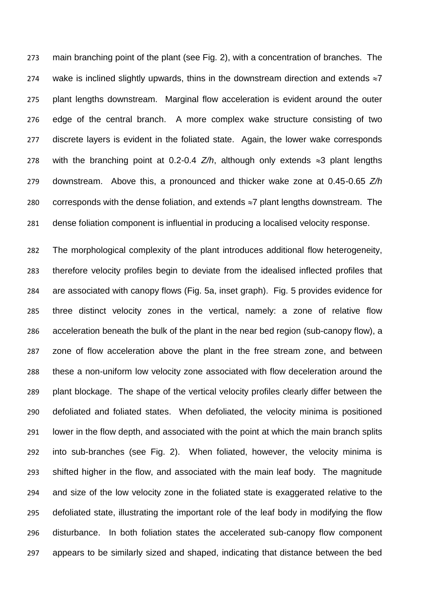main branching point of the plant (see Fig. 2), with a concentration of branches. The 274 wake is inclined slightly upwards, thins in the downstream direction and extends  $\approx$ 7 plant lengths downstream. Marginal flow acceleration is evident around the outer edge of the central branch. A more complex wake structure consisting of two discrete layers is evident in the foliated state. Again, the lower wake corresponds 278 with the branching point at 0.2-0.4  $Z/h$ , although only extends  $\approx$ 3 plant lengths downstream. Above this, a pronounced and thicker wake zone at 0.45-0.65 *Z/h* 280 corresponds with the dense foliation, and extends  $\approx$ 7 plant lengths downstream. The dense foliation component is influential in producing a localised velocity response.

 The morphological complexity of the plant introduces additional flow heterogeneity, therefore velocity profiles begin to deviate from the idealised inflected profiles that are associated with canopy flows (Fig. 5a, inset graph). Fig. 5 provides evidence for three distinct velocity zones in the vertical, namely: a zone of relative flow acceleration beneath the bulk of the plant in the near bed region (sub-canopy flow), a zone of flow acceleration above the plant in the free stream zone, and between these a non-uniform low velocity zone associated with flow deceleration around the plant blockage. The shape of the vertical velocity profiles clearly differ between the defoliated and foliated states. When defoliated, the velocity minima is positioned lower in the flow depth, and associated with the point at which the main branch splits into sub-branches (see Fig. 2). When foliated, however, the velocity minima is shifted higher in the flow, and associated with the main leaf body. The magnitude and size of the low velocity zone in the foliated state is exaggerated relative to the defoliated state, illustrating the important role of the leaf body in modifying the flow disturbance. In both foliation states the accelerated sub-canopy flow component appears to be similarly sized and shaped, indicating that distance between the bed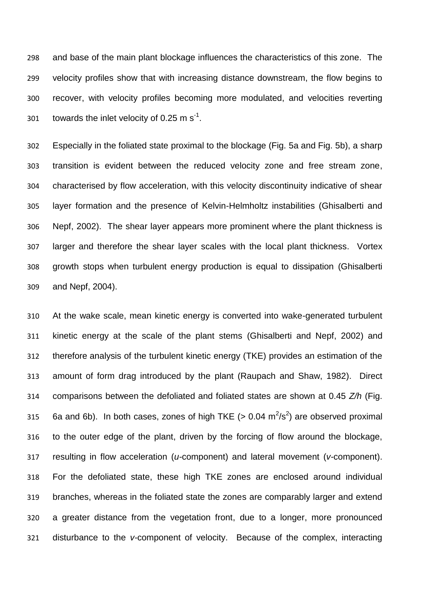and base of the main plant blockage influences the characteristics of this zone. The velocity profiles show that with increasing distance downstream, the flow begins to recover, with velocity profiles becoming more modulated, and velocities reverting 301 towards the inlet velocity of 0.25 m  $s^{-1}$ .

 Especially in the foliated state proximal to the blockage (Fig. 5a and Fig. 5b), a sharp transition is evident between the reduced velocity zone and free stream zone, characterised by flow acceleration, with this velocity discontinuity indicative of shear layer formation and the presence of Kelvin-Helmholtz instabilities [\(Ghisalberti and](#page-31-7)  [Nepf, 2002\)](#page-31-7). The shear layer appears more prominent where the plant thickness is larger and therefore the shear layer scales with the local plant thickness. Vortex growth stops when turbulent energy production is equal to dissipation [\(Ghisalberti](#page-31-8)  [and Nepf, 2004\)](#page-31-8).

 At the wake scale, mean kinetic energy is converted into wake-generated turbulent kinetic energy at the scale of the plant stems [\(Ghisalberti and Nepf, 2002\)](#page-31-7) and therefore analysis of the turbulent kinetic energy (TKE) provides an estimation of the amount of form drag introduced by the plant [\(Raupach and Shaw, 1982\)](#page-34-10). Direct comparisons between the defoliated and foliated states are shown at 0.45 *Z/h* (Fig. 315 6a and 6b). In both cases, zones of high TKE  $(> 0.04 \text{ m}^2/\text{s}^2)$  are observed proximal to the outer edge of the plant, driven by the forcing of flow around the blockage, resulting in flow acceleration (*u-*component) and lateral movement (*v-*component). For the defoliated state, these high TKE zones are enclosed around individual branches, whereas in the foliated state the zones are comparably larger and extend a greater distance from the vegetation front, due to a longer, more pronounced disturbance to the *v-*component of velocity. Because of the complex, interacting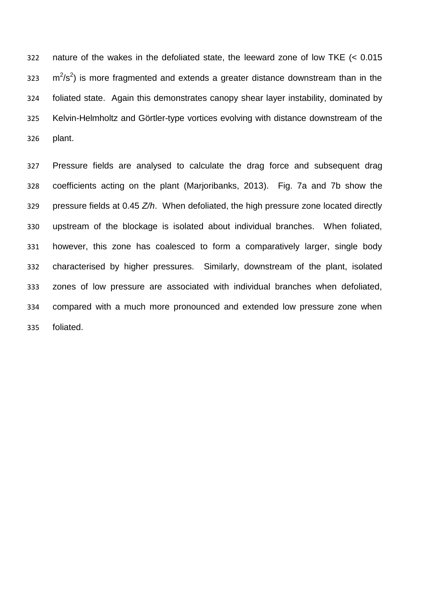nature of the wakes in the defoliated state, the leeward zone of low TKE (< 0.015  $\text{m}^2/\text{s}^2$ ) is more fragmented and extends a greater distance downstream than in the foliated state. Again this demonstrates canopy shear layer instability, dominated by Kelvin-Helmholtz and Görtler-type vortices evolving with distance downstream of the plant.

 Pressure fields are analysed to calculate the drag force and subsequent drag coefficients acting on the plant [\(Marjoribanks, 2013\)](#page-33-6). Fig. 7a and 7b show the pressure fields at 0.45 *Z/h*. When defoliated, the high pressure zone located directly upstream of the blockage is isolated about individual branches. When foliated, however, this zone has coalesced to form a comparatively larger, single body characterised by higher pressures. Similarly, downstream of the plant, isolated zones of low pressure are associated with individual branches when defoliated, compared with a much more pronounced and extended low pressure zone when foliated.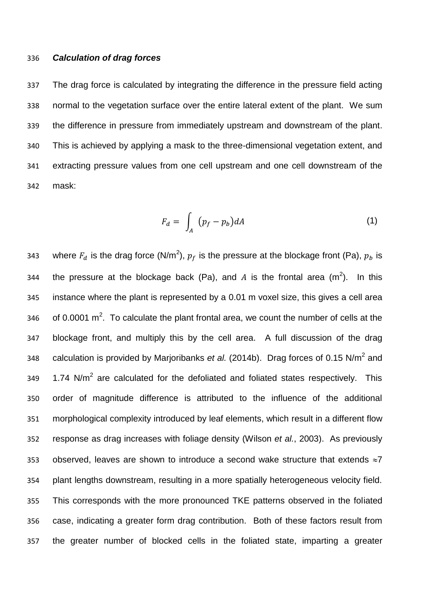#### *Calculation of drag forces*

 The drag force is calculated by integrating the difference in the pressure field acting normal to the vegetation surface over the entire lateral extent of the plant. We sum the difference in pressure from immediately upstream and downstream of the plant. This is achieved by applying a mask to the three-dimensional vegetation extent, and extracting pressure values from one cell upstream and one cell downstream of the mask:

$$
F_d = \int_A (p_f - p_b) dA \tag{1}
$$

343 but where  $F_d$  is the drag force (N/m<sup>2</sup>),  $p_f$  is the pressure at the blockage front (Pa),  $p_b$  is 344 the pressure at the blockage back (Pa), and A is the frontal area (m<sup>2</sup>). In this instance where the plant is represented by a 0.01 m voxel size, this gives a cell area 346 of 0.0001 m<sup>2</sup>. To calculate the plant frontal area, we count the number of cells at the blockage front, and multiply this by the cell area. A full discussion of the drag 348 calculation is provided by [Marjoribanks](#page-33-7) *et al.* (2014b). Drag forces of 0.15 N/m<sup>2</sup> and 349 1.74 N/m<sup>2</sup> are calculated for the defoliated and foliated states respectively. This order of magnitude difference is attributed to the influence of the additional morphological complexity introduced by leaf elements, which result in a different flow response as drag increases with foliage density [\(Wilson](#page-36-5) *et al.*, 2003). As previously 353 observed, leaves are shown to introduce a second wake structure that extends  $\approx$ 7 plant lengths downstream, resulting in a more spatially heterogeneous velocity field. This corresponds with the more pronounced TKE patterns observed in the foliated case, indicating a greater form drag contribution. Both of these factors result from the greater number of blocked cells in the foliated state, imparting a greater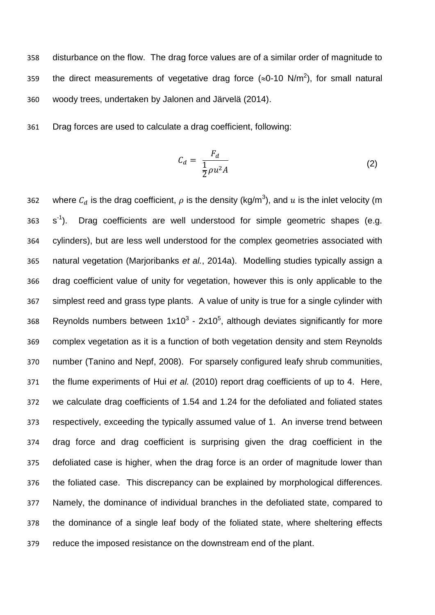disturbance on the flow. The drag force values are of a similar order of magnitude to 359 the direct measurements of vegetative drag force ( $\approx$ 0-10 N/m<sup>2</sup>), for small natural woody trees, undertaken by [Jalonen and Järvelä \(2014\).](#page-31-9)

Drag forces are used to calculate a drag coefficient, following:

$$
C_d = \frac{F_d}{\frac{1}{2}\rho u^2 A} \tag{2}
$$

362 vhere  $C_d$  is the drag coefficient,  $\rho$  is the density (kg/m<sup>3</sup>), and  $u$  is the inlet velocity (m  $s^{\text{-}1}$  s<sup>-1</sup>). Drag coefficients are well understood for simple geometric shapes (e.g. cylinders), but are less well understood for the complex geometries associated with natural vegetation [\(Marjoribanks](#page-33-8) *et al.*, 2014a). Modelling studies typically assign a drag coefficient value of unity for vegetation, however this is only applicable to the simplest reed and grass type plants. A value of unity is true for a single cylinder with 368 Reynolds numbers between  $1x10^3$  - 2x10<sup>5</sup>, although deviates significantly for more complex vegetation as it is a function of both vegetation density and stem Reynolds number [\(Tanino and Nepf, 2008\)](#page-35-7). For sparsely configured leafy shrub communities, the flume experiments of Hui *et al.* [\(2010\)](#page-31-10) report drag coefficients of up to 4. Here, we calculate drag coefficients of 1.54 and 1.24 for the defoliated and foliated states respectively, exceeding the typically assumed value of 1. An inverse trend between drag force and drag coefficient is surprising given the drag coefficient in the defoliated case is higher, when the drag force is an order of magnitude lower than the foliated case. This discrepancy can be explained by morphological differences. Namely, the dominance of individual branches in the defoliated state, compared to the dominance of a single leaf body of the foliated state, where sheltering effects reduce the imposed resistance on the downstream end of the plant.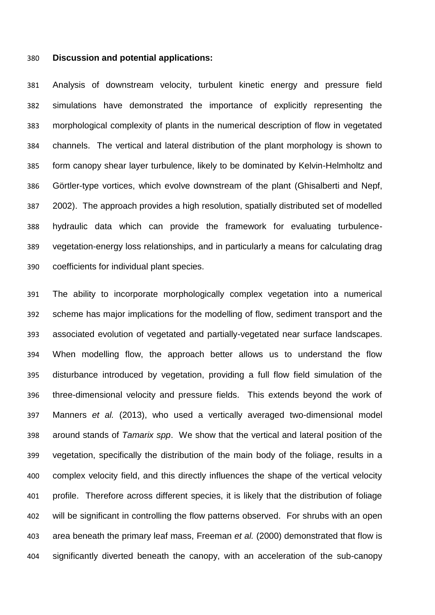#### **Discussion and potential applications:**

 Analysis of downstream velocity, turbulent kinetic energy and pressure field simulations have demonstrated the importance of explicitly representing the morphological complexity of plants in the numerical description of flow in vegetated channels. The vertical and lateral distribution of the plant morphology is shown to form canopy shear layer turbulence, likely to be dominated by Kelvin-Helmholtz and Görtler-type vortices, which evolve downstream of the plant [\(Ghisalberti and Nepf,](#page-31-7)  [2002\)](#page-31-7). The approach provides a high resolution, spatially distributed set of modelled hydraulic data which can provide the framework for evaluating turbulence- vegetation-energy loss relationships, and in particularly a means for calculating drag coefficients for individual plant species.

 The ability to incorporate morphologically complex vegetation into a numerical scheme has major implications for the modelling of flow, sediment transport and the associated evolution of vegetated and partially-vegetated near surface landscapes. When modelling flow, the approach better allows us to understand the flow disturbance introduced by vegetation, providing a full flow field simulation of the three-dimensional velocity and pressure fields. This extends beyond the work of [Manners](#page-32-9) *et al.* (2013), who used a vertically averaged two-dimensional model around stands of *Tamarix spp*. We show that the vertical and lateral position of the vegetation, specifically the distribution of the main body of the foliage, results in a complex velocity field, and this directly influences the shape of the vertical velocity profile. Therefore across different species, it is likely that the distribution of foliage will be significant in controlling the flow patterns observed. For shrubs with an open area beneath the primary leaf mass, [Freeman](#page-30-8) *et al.* (2000) demonstrated that flow is significantly diverted beneath the canopy, with an acceleration of the sub-canopy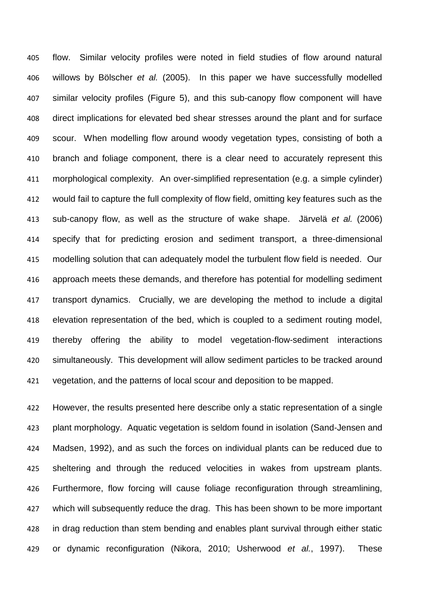flow. Similar velocity profiles were noted in field studies of flow around natural willows by [Bölscher](#page-29-7) *et al.* (2005). In this paper we have successfully modelled similar velocity profiles (Figure 5), and this sub-canopy flow component will have direct implications for elevated bed shear stresses around the plant and for surface scour. When modelling flow around woody vegetation types, consisting of both a branch and foliage component, there is a clear need to accurately represent this morphological complexity. An over-simplified representation (e.g. a simple cylinder) would fail to capture the full complexity of flow field, omitting key features such as the sub-canopy flow, as well as the structure of wake shape. [Järvelä](#page-32-10) *et al.* (2006) specify that for predicting erosion and sediment transport, a three-dimensional modelling solution that can adequately model the turbulent flow field is needed. Our approach meets these demands, and therefore has potential for modelling sediment transport dynamics. Crucially, we are developing the method to include a digital elevation representation of the bed, which is coupled to a sediment routing model, thereby offering the ability to model vegetation-flow-sediment interactions simultaneously. This development will allow sediment particles to be tracked around vegetation, and the patterns of local scour and deposition to be mapped.

 However, the results presented here describe only a static representation of a single plant morphology. Aquatic vegetation is seldom found in isolation [\(Sand-Jensen and](#page-34-11)  [Madsen, 1992\)](#page-34-11), and as such the forces on individual plants can be reduced due to sheltering and through the reduced velocities in wakes from upstream plants. Furthermore, flow forcing will cause foliage reconfiguration through streamlining, which will subsequently reduce the drag. This has been shown to be more important in drag reduction than stem bending and enables plant survival through either static or dynamic reconfiguration [\(Nikora, 2010;](#page-33-9) [Usherwood](#page-36-6) *et al.*, 1997). These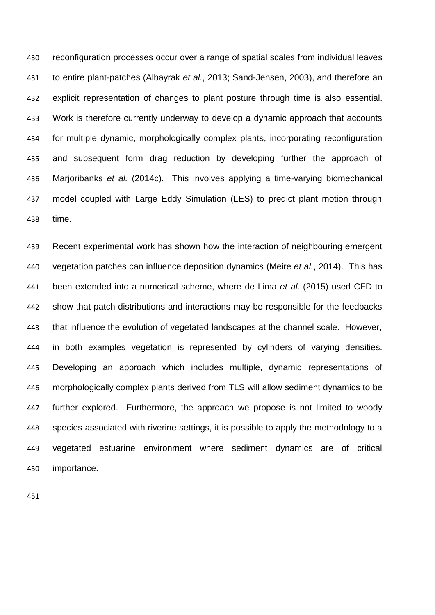reconfiguration processes occur over a range of spatial scales from individual leaves to entire plant-patches [\(Albayrak](#page-29-8) *et al.*, 2013; [Sand-Jensen, 2003\)](#page-34-2), and therefore an explicit representation of changes to plant posture through time is also essential. Work is therefore currently underway to develop a dynamic approach that accounts for multiple dynamic, morphologically complex plants, incorporating reconfiguration and subsequent form drag reduction by developing further the approach of [Marjoribanks](#page-33-4) *et al.* (2014c). This involves applying a time-varying biomechanical model coupled with Large Eddy Simulation (LES) to predict plant motion through time.

 Recent experimental work has shown how the interaction of neighbouring emergent vegetation patches can influence deposition dynamics (Meire *et al.*[, 2014\)](#page-33-10). This has been extended into a numerical scheme, where [de Lima](#page-30-9) *et al.* (2015) used CFD to show that patch distributions and interactions may be responsible for the feedbacks that influence the evolution of vegetated landscapes at the channel scale. However, in both examples vegetation is represented by cylinders of varying densities. Developing an approach which includes multiple, dynamic representations of morphologically complex plants derived from TLS will allow sediment dynamics to be further explored. Furthermore, the approach we propose is not limited to woody species associated with riverine settings, it is possible to apply the methodology to a vegetated estuarine environment where sediment dynamics are of critical importance.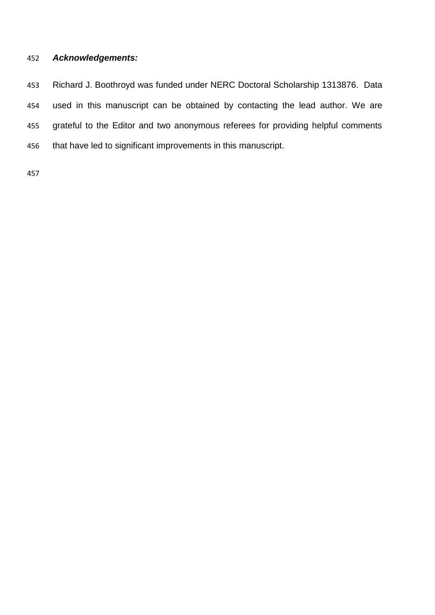## *Acknowledgements:*

 Richard J. Boothroyd was funded under NERC Doctoral Scholarship 1313876. Data used in this manuscript can be obtained by contacting the lead author. We are grateful to the Editor and two anonymous referees for providing helpful comments that have led to significant improvements in this manuscript.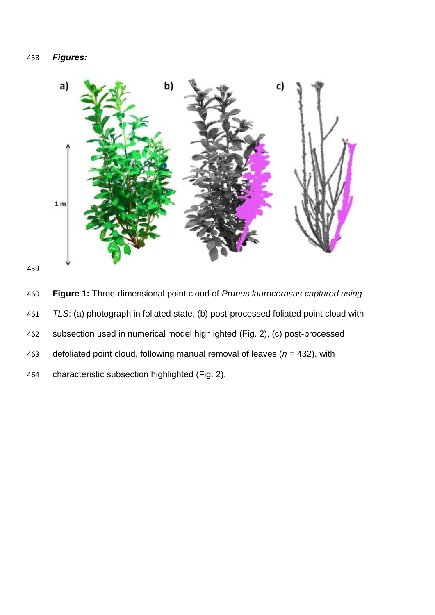# *Figures:*



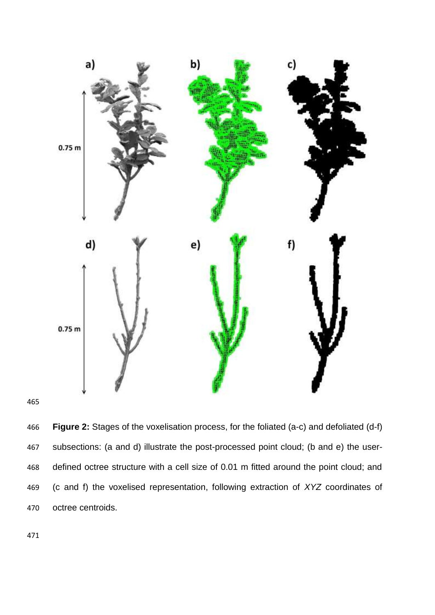



 **Figure 2:** Stages of the voxelisation process, for the foliated (a-c) and defoliated (d-f) subsections: (a and d) illustrate the post-processed point cloud; (b and e) the user- defined octree structure with a cell size of 0.01 m fitted around the point cloud; and (c and f) the voxelised representation, following extraction of *XYZ* coordinates of octree centroids.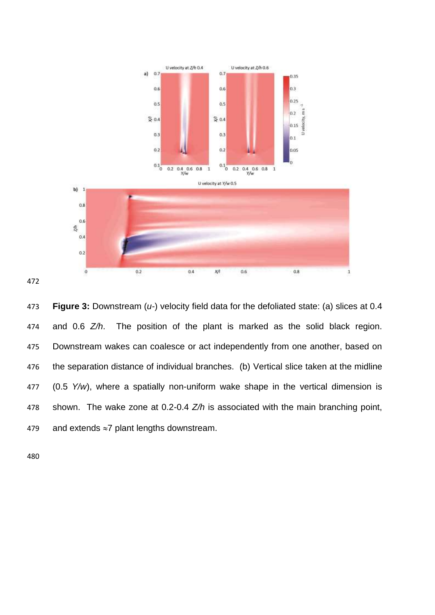

 **Figure 3:** Downstream (*u-*) velocity field data for the defoliated state: (a) slices at 0.4 and 0.6 *Z/h*. The position of the plant is marked as the solid black region. Downstream wakes can coalesce or act independently from one another, based on the separation distance of individual branches. (b) Vertical slice taken at the midline (0.5 *Y/w*), where a spatially non-uniform wake shape in the vertical dimension is shown. The wake zone at 0.2-0.4 *Z/h* is associated with the main branching point, 479 and extends  $\approx$ 7 plant lengths downstream.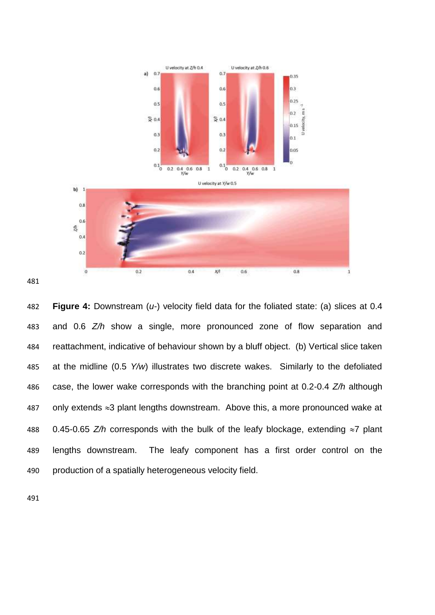

 **Figure 4:** Downstream (*u-*) velocity field data for the foliated state: (a) slices at 0.4 and 0.6 *Z/h* show a single, more pronounced zone of flow separation and reattachment, indicative of behaviour shown by a bluff object. (b) Vertical slice taken at the midline (0.5 *Y/w*) illustrates two discrete wakes. Similarly to the defoliated case, the lower wake corresponds with the branching point at 0.2-0.4 *Z/h* although 487 only extends  $\approx$ 3 plant lengths downstream. Above this, a more pronounced wake at 488 0.45-0.65  $Z/h$  corresponds with the bulk of the leafy blockage, extending  $\approx$ 7 plant lengths downstream. The leafy component has a first order control on the production of a spatially heterogeneous velocity field.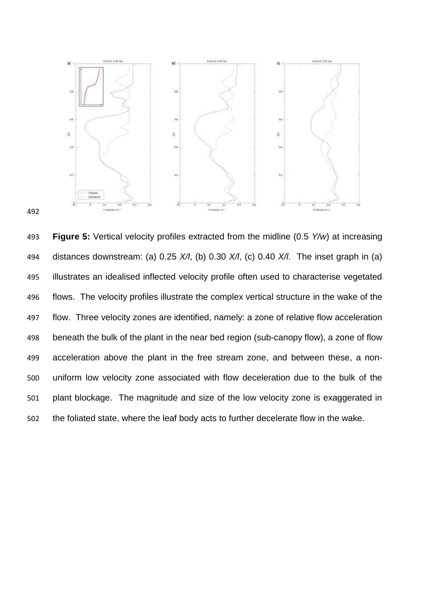

 **Figure 5:** Vertical velocity profiles extracted from the midline (0.5 *Y/w*) at increasing distances downstream: (a) 0.25 *X/l*, (b) 0.30 *X/l*, (c) 0.40 *X/l*. The inset graph in (a) illustrates an idealised inflected velocity profile often used to characterise vegetated flows. The velocity profiles illustrate the complex vertical structure in the wake of the flow. Three velocity zones are identified, namely: a zone of relative flow acceleration beneath the bulk of the plant in the near bed region (sub-canopy flow), a zone of flow acceleration above the plant in the free stream zone, and between these, a non- uniform low velocity zone associated with flow deceleration due to the bulk of the plant blockage. The magnitude and size of the low velocity zone is exaggerated in the foliated state, where the leaf body acts to further decelerate flow in the wake.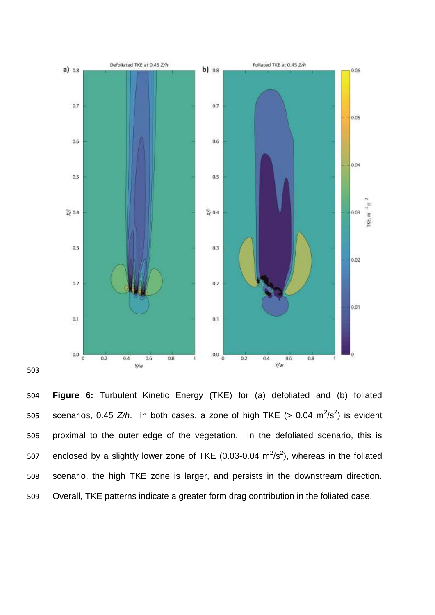

 **Figure 6:** Turbulent Kinetic Energy (TKE) for (a) defoliated and (b) foliated 505 scenarios, 0.45  $Z/h$ . In both cases, a zone of high TKE (> 0.04  $m^2/s^2$ ) is evident proximal to the outer edge of the vegetation. In the defoliated scenario, this is 507 enclosed by a slightly lower zone of TKE (0.03-0.04  $m^2/s^2$ ), whereas in the foliated scenario, the high TKE zone is larger, and persists in the downstream direction. Overall, TKE patterns indicate a greater form drag contribution in the foliated case.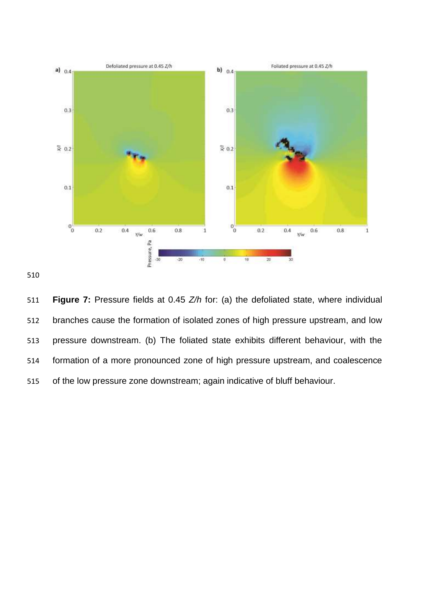

 **Figure 7:** Pressure fields at 0.45 *Z/h* for: (a) the defoliated state, where individual branches cause the formation of isolated zones of high pressure upstream, and low pressure downstream. (b) The foliated state exhibits different behaviour, with the formation of a more pronounced zone of high pressure upstream, and coalescence of the low pressure zone downstream; again indicative of bluff behaviour.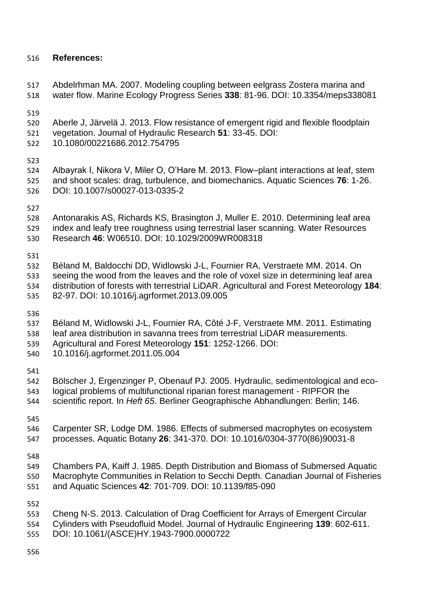## **References:**

 Abdelrhman MA. 2007. Modeling coupling between eelgrass Zostera marina and water flow. Marine Ecology Progress Series **338**: 81-96. DOI: 10.3354/meps338081

- <span id="page-29-1"></span>Aberle J, Järvelä J. 2013. Flow resistance of emergent rigid and flexible floodplain
- vegetation. Journal of Hydraulic Research **51**: 33-45. DOI:
- 10.1080/00221686.2012.754795

<span id="page-29-8"></span> Albayrak I, Nikora V, Miler O, O'Hare M. 2013. Flow–plant interactions at leaf, stem and shoot scales: drag, turbulence, and biomechanics. Aquatic Sciences **76**: 1-26. DOI: 10.1007/s00027-013-0335-2

- <span id="page-29-6"></span> Antonarakis AS, Richards KS, Brasington J, Muller E. 2010. Determining leaf area index and leafy tree roughness using terrestrial laser scanning. Water Resources
- Research **46**: W06510. DOI: 10.1029/2009WR008318

- <span id="page-29-4"></span> Béland M, Baldocchi DD, Widlowski J-L, Fournier RA, Verstraete MM. 2014. On seeing the wood from the leaves and the role of voxel size in determining leaf area distribution of forests with terrestrial LiDAR. Agricultural and Forest Meteorology **184**:
- 82-97. DOI: 10.1016/j.agrformet.2013.09.005

- <span id="page-29-5"></span>Béland M, Widlowski J-L, Fournier RA, Côté J-F, Verstraete MM. 2011. Estimating
- leaf area distribution in savanna trees from terrestrial LiDAR measurements.
- Agricultural and Forest Meteorology **151**: 1252-1266. DOI:
- 10.1016/j.agrformet.2011.05.004

- <span id="page-29-7"></span> Bölscher J, Ergenzinger P, Obenauf PJ. 2005. Hydraulic, sedimentological and eco-logical problems of multifunctional riparian forest management - RIPFOR the
- scientific report. In *Heft 65*. Berliner Geographische Abhandlungen: Berlin; 146.

<span id="page-29-0"></span> Carpenter SR, Lodge DM. 1986. Effects of submersed macrophytes on ecosystem processes. Aquatic Botany **26**: 341-370. DOI: 10.1016/0304-3770(86)90031-8

<span id="page-29-2"></span> Chambers PA, Kaiff J. 1985. Depth Distribution and Biomass of Submersed Aquatic Macrophyte Communities in Relation to Secchi Depth. Canadian Journal of Fisheries and Aquatic Sciences **42**: 701-709. DOI: 10.1139/f85-090

- <span id="page-29-3"></span>Cheng N-S. 2013. Calculation of Drag Coefficient for Arrays of Emergent Circular
- Cylinders with Pseudofluid Model. Journal of Hydraulic Engineering **139**: 602-611.
- DOI: 10.1061/(ASCE)HY.1943-7900.0000722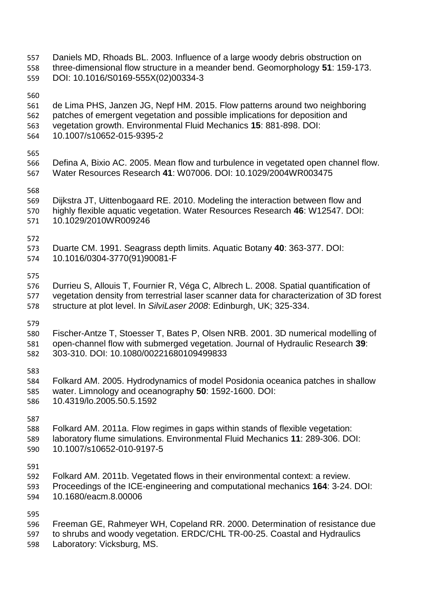<span id="page-30-9"></span><span id="page-30-8"></span><span id="page-30-7"></span><span id="page-30-6"></span><span id="page-30-5"></span><span id="page-30-4"></span><span id="page-30-3"></span><span id="page-30-2"></span><span id="page-30-1"></span><span id="page-30-0"></span> Daniels MD, Rhoads BL. 2003. Influence of a large woody debris obstruction on three-dimensional flow structure in a meander bend. Geomorphology **51**: 159-173. DOI: 10.1016/S0169-555X(02)00334-3 de Lima PHS, Janzen JG, Nepf HM. 2015. Flow patterns around two neighboring patches of emergent vegetation and possible implications for deposition and vegetation growth. Environmental Fluid Mechanics **15**: 881-898. DOI: 10.1007/s10652-015-9395-2 Defina A, Bixio AC. 2005. Mean flow and turbulence in vegetated open channel flow. Water Resources Research **41**: W07006. DOI: 10.1029/2004WR003475 Dijkstra JT, Uittenbogaard RE. 2010. Modeling the interaction between flow and highly flexible aquatic vegetation. Water Resources Research **46**: W12547. DOI: 10.1029/2010WR009246 Duarte CM. 1991. Seagrass depth limits. Aquatic Botany **40**: 363-377. DOI: 10.1016/0304-3770(91)90081-F Durrieu S, Allouis T, Fournier R, Véga C, Albrech L. 2008. Spatial quantification of vegetation density from terrestrial laser scanner data for characterization of 3D forest structure at plot level. In *SilviLaser 2008*: Edinburgh, UK; 325-334. Fischer-Antze T, Stoesser T, Bates P, Olsen NRB. 2001. 3D numerical modelling of open-channel flow with submerged vegetation. Journal of Hydraulic Research **39**: 303-310. DOI: 10.1080/00221680109499833 Folkard AM. 2005. Hydrodynamics of model Posidonia oceanica patches in shallow water. Limnology and oceanography **50**: 1592-1600. DOI: 10.4319/lo.2005.50.5.1592 Folkard AM. 2011a. Flow regimes in gaps within stands of flexible vegetation: laboratory flume simulations. Environmental Fluid Mechanics **11**: 289-306. DOI: 10.1007/s10652-010-9197-5 Folkard AM. 2011b. Vegetated flows in their environmental context: a review. Proceedings of the ICE-engineering and computational mechanics **164**: 3-24. DOI: 10.1680/eacm.8.00006 Freeman GE, Rahmeyer WH, Copeland RR. 2000. Determination of resistance due to shrubs and woody vegetation. ERDC/CHL TR-00-25. Coastal and Hydraulics Laboratory: Vicksburg, MS.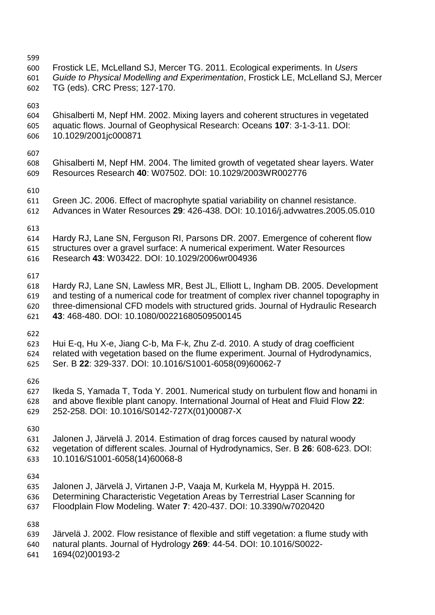<span id="page-31-10"></span><span id="page-31-9"></span><span id="page-31-8"></span><span id="page-31-7"></span><span id="page-31-6"></span><span id="page-31-5"></span><span id="page-31-4"></span><span id="page-31-3"></span><span id="page-31-2"></span><span id="page-31-1"></span><span id="page-31-0"></span>

| 599<br>600<br>601<br>602        | Frostick LE, McLelland SJ, Mercer TG. 2011. Ecological experiments. In Users<br>Guide to Physical Modelling and Experimentation, Frostick LE, McLelland SJ, Mercer<br>TG (eds). CRC Press; 127-170.                                                                                                         |
|---------------------------------|-------------------------------------------------------------------------------------------------------------------------------------------------------------------------------------------------------------------------------------------------------------------------------------------------------------|
| 603<br>604<br>605<br>606        | Ghisalberti M, Nepf HM. 2002. Mixing layers and coherent structures in vegetated<br>aquatic flows. Journal of Geophysical Research: Oceans 107: 3-1-3-11. DOI:<br>10.1029/2001jc000871                                                                                                                      |
| 607<br>608<br>609               | Ghisalberti M, Nepf HM. 2004. The limited growth of vegetated shear layers. Water<br>Resources Research 40: W07502. DOI: 10.1029/2003WR002776                                                                                                                                                               |
| 610<br>611<br>612               | Green JC. 2006. Effect of macrophyte spatial variability on channel resistance.<br>Advances in Water Resources 29: 426-438. DOI: 10.1016/j.advwatres.2005.05.010                                                                                                                                            |
| 613<br>614<br>615<br>616        | Hardy RJ, Lane SN, Ferguson RI, Parsons DR. 2007. Emergence of coherent flow<br>structures over a gravel surface: A numerical experiment. Water Resources<br>Research 43: W03422. DOI: 10.1029/2006wr004936                                                                                                 |
| 617<br>618<br>619<br>620<br>621 | Hardy RJ, Lane SN, Lawless MR, Best JL, Elliott L, Ingham DB. 2005. Development<br>and testing of a numerical code for treatment of complex river channel topography in<br>three-dimensional CFD models with structured grids. Journal of Hydraulic Research<br>43: 468-480. DOI: 10.1080/00221680509500145 |
| 622<br>623<br>624<br>625        | Hui E-q, Hu X-e, Jiang C-b, Ma F-k, Zhu Z-d. 2010. A study of drag coefficient<br>related with vegetation based on the flume experiment. Journal of Hydrodynamics,<br>Ser. B 22: 329-337. DOI: 10.1016/S1001-6058(09)60062-7                                                                                |
| 626<br>627<br>628<br>629        | Ikeda S, Yamada T, Toda Y. 2001. Numerical study on turbulent flow and honami in<br>and above flexible plant canopy. International Journal of Heat and Fluid Flow 22:<br>252-258. DOI: 10.1016/S0142-727X(01)00087-X                                                                                        |
| 630<br>631<br>632<br>633        | Jalonen J, Järvelä J. 2014. Estimation of drag forces caused by natural woody<br>vegetation of different scales. Journal of Hydrodynamics, Ser. B 26: 608-623. DOI:<br>10.1016/S1001-6058(14)60068-8                                                                                                        |
| 634<br>635<br>636<br>637        | Jalonen J, Järvelä J, Virtanen J-P, Vaaja M, Kurkela M, Hyyppä H. 2015.<br>Determining Characteristic Vegetation Areas by Terrestrial Laser Scanning for<br>Floodplain Flow Modeling. Water 7: 420-437. DOI: 10.3390/w7020420                                                                               |
| 638<br>639<br>640<br>641        | Järvelä J. 2002. Flow resistance of flexible and stiff vegetation: a flume study with<br>natural plants. Journal of Hydrology 269: 44-54. DOI: 10.1016/S0022-<br>1694(02)00193-2                                                                                                                            |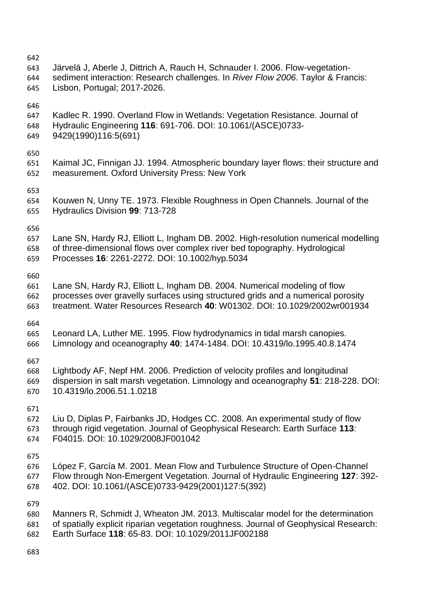<span id="page-32-10"></span><span id="page-32-9"></span><span id="page-32-8"></span><span id="page-32-7"></span><span id="page-32-6"></span><span id="page-32-5"></span><span id="page-32-4"></span><span id="page-32-3"></span><span id="page-32-2"></span><span id="page-32-1"></span><span id="page-32-0"></span>

| 642<br>643<br>644<br>645 | Järvelä J, Aberle J, Dittrich A, Rauch H, Schnauder I. 2006. Flow-vegetation-<br>sediment interaction: Research challenges. In River Flow 2006. Taylor & Francis:<br>Lisbon, Portugal; 2017-2026.                                          |
|--------------------------|--------------------------------------------------------------------------------------------------------------------------------------------------------------------------------------------------------------------------------------------|
| 646<br>647<br>648<br>649 | Kadlec R. 1990. Overland Flow in Wetlands: Vegetation Resistance. Journal of<br>Hydraulic Engineering 116: 691-706. DOI: 10.1061/(ASCE)0733-<br>9429(1990)116:5(691)                                                                       |
| 650<br>651<br>652        | Kaimal JC, Finnigan JJ. 1994. Atmospheric boundary layer flows: their structure and<br>measurement. Oxford University Press: New York                                                                                                      |
| 653<br>654<br>655        | Kouwen N, Unny TE. 1973. Flexible Roughness in Open Channels. Journal of the<br>Hydraulics Division 99: 713-728                                                                                                                            |
| 656<br>657<br>658<br>659 | Lane SN, Hardy RJ, Elliott L, Ingham DB. 2002. High-resolution numerical modelling<br>of three-dimensional flows over complex river bed topography. Hydrological<br>Processes 16: 2261-2272. DOI: 10.1002/hyp.5034                         |
| 660<br>661<br>662<br>663 | Lane SN, Hardy RJ, Elliott L, Ingham DB. 2004. Numerical modeling of flow<br>processes over gravelly surfaces using structured grids and a numerical porosity<br>treatment. Water Resources Research 40: W01302. DOI: 10.1029/2002wr001934 |
| 664<br>665<br>666        | Leonard LA, Luther ME. 1995. Flow hydrodynamics in tidal marsh canopies.<br>Limnology and oceanography 40: 1474-1484. DOI: 10.4319/lo.1995.40.8.1474                                                                                       |
| 667<br>668<br>669<br>670 | Lightbody AF, Nepf HM. 2006. Prediction of velocity profiles and longitudinal<br>dispersion in salt marsh vegetation. Limnology and oceanography 51: 218-228. DOI:<br>10.4319/lo.2006.51.1.0218                                            |
| 671<br>672<br>673<br>674 | Liu D, Diplas P, Fairbanks JD, Hodges CC. 2008. An experimental study of flow<br>through rigid vegetation. Journal of Geophysical Research: Earth Surface 113:<br>F04015. DOI: 10.1029/2008JF001042                                        |
| 675<br>676<br>677<br>678 | López F, García M. 2001. Mean Flow and Turbulence Structure of Open-Channel<br>Flow through Non-Emergent Vegetation. Journal of Hydraulic Engineering 127: 392-<br>402. DOI: 10.1061/(ASCE)0733-9429(2001)127:5(392)                       |
| 679<br>680<br>681<br>682 | Manners R, Schmidt J, Wheaton JM. 2013. Multiscalar model for the determination<br>of spatially explicit riparian vegetation roughness. Journal of Geophysical Research:<br>Earth Surface 118: 65-83. DOI: 10.1029/2011JF002188            |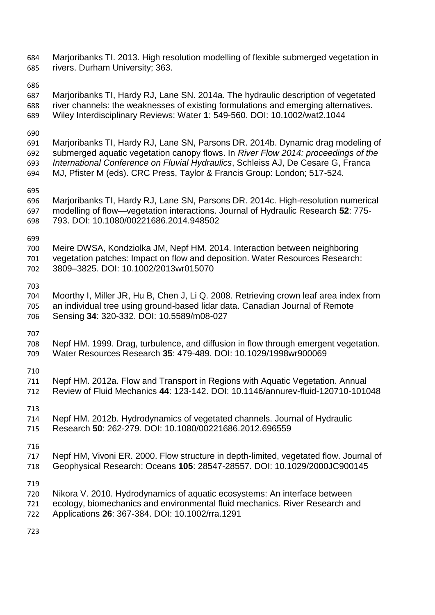- <span id="page-33-6"></span> Marjoribanks TI. 2013. High resolution modelling of flexible submerged vegetation in rivers. Durham University; 363.
- 
- <span id="page-33-8"></span> Marjoribanks TI, Hardy RJ, Lane SN. 2014a. The hydraulic description of vegetated river channels: the weaknesses of existing formulations and emerging alternatives. Wiley Interdisciplinary Reviews: Water **1**: 549-560. DOI: 10.1002/wat2.1044
- 
- <span id="page-33-7"></span> Marjoribanks TI, Hardy RJ, Lane SN, Parsons DR. 2014b. Dynamic drag modeling of submerged aquatic vegetation canopy flows. In *River Flow 2014: proceedings of the International Conference on Fluvial Hydraulics*, Schleiss AJ, De Cesare G, Franca
- MJ, Pfister M (eds). CRC Press, Taylor & Francis Group: London; 517-524.
- 
- <span id="page-33-4"></span> Marjoribanks TI, Hardy RJ, Lane SN, Parsons DR. 2014c. High-resolution numerical modelling of flow—vegetation interactions. Journal of Hydraulic Research **52**: 775- 793. DOI: 10.1080/00221686.2014.948502

<span id="page-33-10"></span> Meire DWSA, Kondziolka JM, Nepf HM. 2014. Interaction between neighboring vegetation patches: Impact on flow and deposition. Water Resources Research: 3809–3825. DOI: 10.1002/2013wr015070

<span id="page-33-5"></span> Moorthy I, Miller JR, Hu B, Chen J, Li Q. 2008. Retrieving crown leaf area index from an individual tree using ground-based lidar data. Canadian Journal of Remote Sensing **34**: 320-332. DOI: 10.5589/m08-027

<span id="page-33-3"></span> Nepf HM. 1999. Drag, turbulence, and diffusion in flow through emergent vegetation. Water Resources Research **35**: 479-489. DOI: 10.1029/1998wr900069

<span id="page-33-0"></span> Nepf HM. 2012a. Flow and Transport in Regions with Aquatic Vegetation. Annual Review of Fluid Mechanics **44**: 123-142. DOI: 10.1146/annurev-fluid-120710-101048

<span id="page-33-1"></span> Nepf HM. 2012b. Hydrodynamics of vegetated channels. Journal of Hydraulic Research **50**: 262-279. DOI: 10.1080/00221686.2012.696559

- <span id="page-33-2"></span>Nepf HM, Vivoni ER. 2000. Flow structure in depth-limited, vegetated flow. Journal of
- Geophysical Research: Oceans **105**: 28547-28557. DOI: 10.1029/2000JC900145

- <span id="page-33-9"></span>Nikora V. 2010. Hydrodynamics of aquatic ecosystems: An interface between
- ecology, biomechanics and environmental fluid mechanics. River Research and
- Applications **26**: 367-384. DOI: 10.1002/rra.1291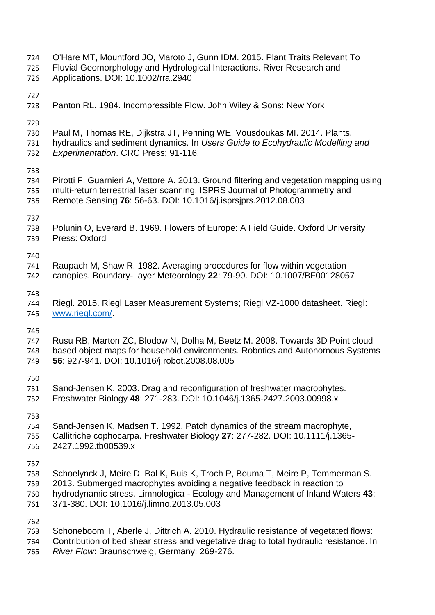- <span id="page-34-10"></span><span id="page-34-8"></span><span id="page-34-7"></span><span id="page-34-6"></span><span id="page-34-5"></span><span id="page-34-4"></span><span id="page-34-0"></span> O'Hare MT, Mountford JO, Maroto J, Gunn IDM. 2015. Plant Traits Relevant To Fluvial Geomorphology and Hydrological Interactions. River Research and Applications. DOI: 10.1002/rra.2940 Panton RL. 1984. Incompressible Flow. John Wiley & Sons: New York Paul M, Thomas RE, Dijkstra JT, Penning WE, Vousdoukas MI. 2014. Plants, hydraulics and sediment dynamics. In *Users Guide to Ecohydraulic Modelling and Experimentation*. CRC Press; 91-116. Pirotti F, Guarnieri A, Vettore A. 2013. Ground filtering and vegetation mapping using multi-return terrestrial laser scanning. ISPRS Journal of Photogrammetry and Remote Sensing **76**: 56-63. DOI: 10.1016/j.isprsjprs.2012.08.003 Polunin O, Everard B. 1969. Flowers of Europe: A Field Guide. Oxford University Press: Oxford Raupach M, Shaw R. 1982. Averaging procedures for flow within vegetation canopies. Boundary-Layer Meteorology **22**: 79-90. DOI: 10.1007/BF00128057 Riegl. 2015. Riegl Laser Measurement Systems; Riegl VZ-1000 datasheet. Riegl: [www.riegl.com/.](http://www.riegl.com/) Rusu RB, Marton ZC, Blodow N, Dolha M, Beetz M. 2008. Towards 3D Point cloud based object maps for household environments. Robotics and Autonomous Systems **56**: 927-941. DOI: 10.1016/j.robot.2008.08.005 Sand-Jensen K. 2003. Drag and reconfiguration of freshwater macrophytes. Freshwater Biology **48**: 271-283. DOI: 10.1046/j.1365-2427.2003.00998.x Sand-Jensen K, Madsen T. 1992. Patch dynamics of the stream macrophyte, Callitriche cophocarpa. Freshwater Biology **27**: 277-282. DOI: 10.1111/j.1365- 2427.1992.tb00539.x Schoelynck J, Meire D, Bal K, Buis K, Troch P, Bouma T, Meire P, Temmerman S. 2013. Submerged macrophytes avoiding a negative feedback in reaction to hydrodynamic stress. Limnologica - Ecology and Management of Inland Waters **43**: 371-380. DOI: 10.1016/j.limno.2013.05.003 Schoneboom T, Aberle J, Dittrich A. 2010. Hydraulic resistance of vegetated flows: Contribution of bed shear stress and vegetative drag to total hydraulic resistance. In
- <span id="page-34-11"></span><span id="page-34-9"></span><span id="page-34-3"></span><span id="page-34-2"></span><span id="page-34-1"></span>*River Flow*: Braunschweig, Germany; 269-276.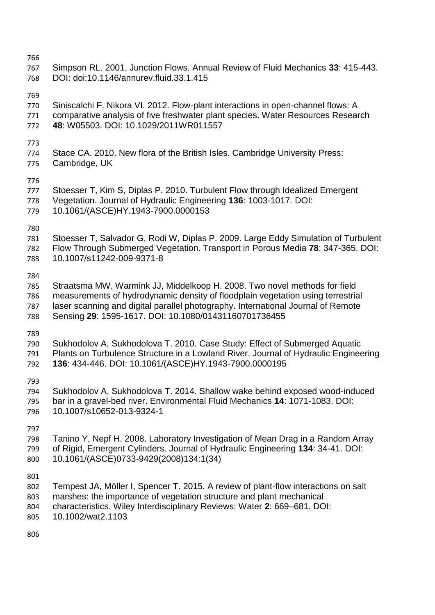<span id="page-35-7"></span><span id="page-35-6"></span><span id="page-35-5"></span><span id="page-35-4"></span><span id="page-35-3"></span><span id="page-35-2"></span><span id="page-35-1"></span><span id="page-35-0"></span>

| 766<br>767<br>768               | Simpson RL. 2001. Junction Flows. Annual Review of Fluid Mechanics 33: 415-443.<br>DOI: doi:10.1146/annurev.fluid.33.1.415                                                                                                                                                                                |
|---------------------------------|-----------------------------------------------------------------------------------------------------------------------------------------------------------------------------------------------------------------------------------------------------------------------------------------------------------|
| 769<br>770<br>771<br>772        | Siniscalchi F, Nikora VI. 2012. Flow-plant interactions in open-channel flows: A<br>comparative analysis of five freshwater plant species. Water Resources Research<br>48: W05503. DOI: 10.1029/2011WR011557                                                                                              |
| 773<br>774<br>775               | Stace CA. 2010. New flora of the British Isles. Cambridge University Press:<br>Cambridge, UK                                                                                                                                                                                                              |
| 776<br>777<br>778<br>779        | Stoesser T, Kim S, Diplas P. 2010. Turbulent Flow through Idealized Emergent<br>Vegetation. Journal of Hydraulic Engineering 136: 1003-1017. DOI:<br>10.1061/(ASCE)HY.1943-7900.0000153                                                                                                                   |
| 780<br>781<br>782<br>783        | Stoesser T, Salvador G, Rodi W, Diplas P. 2009. Large Eddy Simulation of Turbulent<br>Flow Through Submerged Vegetation. Transport in Porous Media 78: 347-365. DOI:<br>10.1007/s11242-009-9371-8                                                                                                         |
| 784<br>785<br>786<br>787<br>788 | Straatsma MW, Warmink JJ, Middelkoop H. 2008. Two novel methods for field<br>measurements of hydrodynamic density of floodplain vegetation using terrestrial<br>laser scanning and digital parallel photography. International Journal of Remote<br>Sensing 29: 1595-1617. DOI: 10.1080/01431160701736455 |
| 789<br>790<br>791<br>792        | Sukhodolov A, Sukhodolova T. 2010. Case Study: Effect of Submerged Aquatic<br>Plants on Turbulence Structure in a Lowland River. Journal of Hydraulic Engineering<br>136: 434-446. DOI: 10.1061/(ASCE)HY.1943-7900.0000195                                                                                |
| 793<br>794<br>795<br>796        | Sukhodolov A, Sukhodolova T. 2014. Shallow wake behind exposed wood-induced<br>bar in a gravel-bed river. Environmental Fluid Mechanics 14: 1071-1083. DOI:<br>10.1007/s10652-013-9324-1                                                                                                                  |
| 797<br>798<br>799<br>800        | Tanino Y, Nepf H. 2008. Laboratory Investigation of Mean Drag in a Random Array<br>of Rigid, Emergent Cylinders. Journal of Hydraulic Engineering 134: 34-41. DOI:<br>10.1061/(ASCE)0733-9429(2008)134:1(34)                                                                                              |
| 801<br>802<br>803<br>804<br>805 | Tempest JA, Möller I, Spencer T. 2015. A review of plant-flow interactions on salt<br>marshes: the importance of vegetation structure and plant mechanical<br>characteristics. Wiley Interdisciplinary Reviews: Water 2: 669–681. DOI:<br>10.1002/wat2.1103                                               |